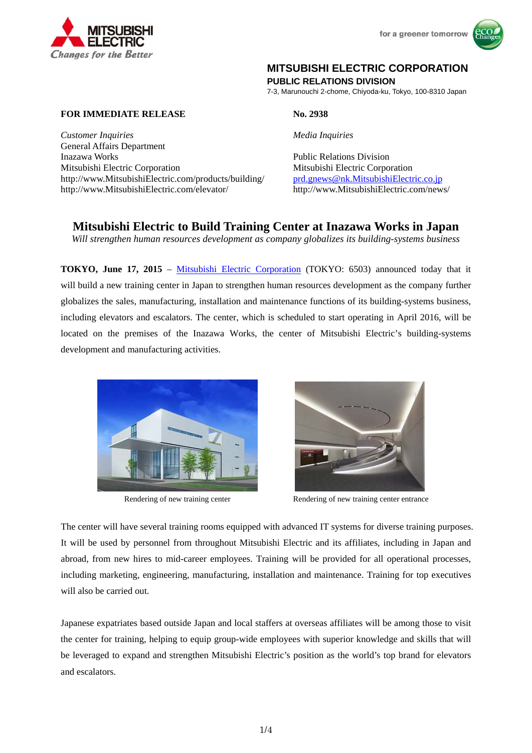



# **MITSUBISHI ELECTRIC CORPORATION**

**PUBLIC RELATIONS DIVISION** 

7-3, Marunouchi 2-chome, Chiyoda-ku, Tokyo, 100-8310 Japan

**FOR IMMEDIATE RELEASE No. 2938** 

*Customer Inquiries Media Inquiries* General Affairs Department Inazawa Works Public Relations Division Mitsubishi Electric Corporation Mitsubishi Electric Corporation http://www.MitsubishiElectric.com/products/building/ prd.gnews@nk.MitsubishiElectric.co.jp http://www.MitsubishiElectric.com/elevator/ http://www.MitsubishiElectric.com/news/

**Mitsubishi Electric to Build Training Center at Inazawa Works in Japan** 

*Will strengthen human resources development as company globalizes its building-systems business* 

**TOKYO, June 17, 2015** – Mitsubishi Electric Corporation (TOKYO: 6503) announced today that it will build a new training center in Japan to strengthen human resources development as the company further globalizes the sales, manufacturing, installation and maintenance functions of its building-systems business, including elevators and escalators. The center, which is scheduled to start operating in April 2016, will be located on the premises of the Inazawa Works, the center of Mitsubishi Electric's building-systems development and manufacturing activities.





Rendering of new training center Rendering of new training center entrance

The center will have several training rooms equipped with advanced IT systems for diverse training purposes. It will be used by personnel from throughout Mitsubishi Electric and its affiliates, including in Japan and abroad, from new hires to mid-career employees. Training will be provided for all operational processes, including marketing, engineering, manufacturing, installation and maintenance. Training for top executives will also be carried out.

Japanese expatriates based outside Japan and local staffers at overseas affiliates will be among those to visit the center for training, helping to equip group-wide employees with superior knowledge and skills that will be leveraged to expand and strengthen Mitsubishi Electric's position as the world's top brand for elevators and escalators.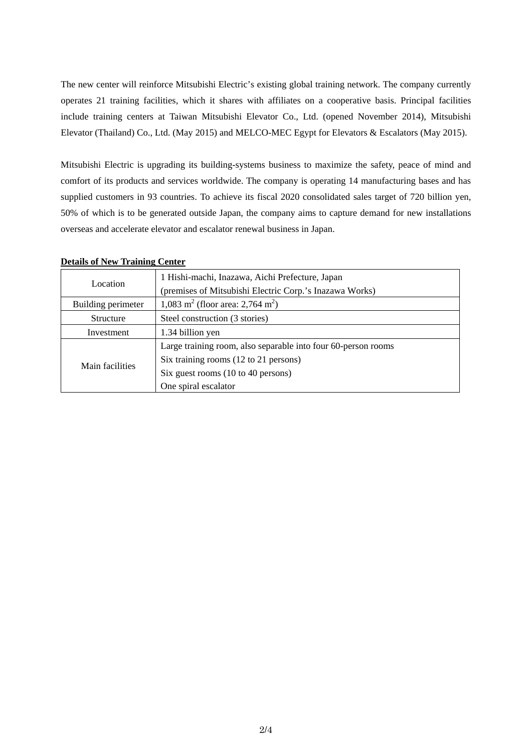The new center will reinforce Mitsubishi Electric's existing global training network. The company currently operates 21 training facilities, which it shares with affiliates on a cooperative basis. Principal facilities include training centers at Taiwan Mitsubishi Elevator Co., Ltd. (opened November 2014), Mitsubishi Elevator (Thailand) Co., Ltd. (May 2015) and MELCO-MEC Egypt for Elevators & Escalators (May 2015).

Mitsubishi Electric is upgrading its building-systems business to maximize the safety, peace of mind and comfort of its products and services worldwide. The company is operating 14 manufacturing bases and has supplied customers in 93 countries. To achieve its fiscal 2020 consolidated sales target of 720 billion yen, 50% of which is to be generated outside Japan, the company aims to capture demand for new installations overseas and accelerate elevator and escalator renewal business in Japan.

| Location           | 1 Hishi-machi, Inazawa, Aichi Prefecture, Japan               |  |
|--------------------|---------------------------------------------------------------|--|
|                    | (premises of Mitsubishi Electric Corp.'s Inazawa Works)       |  |
| Building perimeter | 1,083 m <sup>2</sup> (floor area: 2,764 m <sup>2</sup> )      |  |
| <b>Structure</b>   | Steel construction (3 stories)                                |  |
| Investment         | 1.34 billion yen                                              |  |
| Main facilities    | Large training room, also separable into four 60-person rooms |  |
|                    | Six training rooms (12 to 21 persons)                         |  |
|                    | Six guest rooms (10 to 40 persons)                            |  |
|                    | One spiral escalator                                          |  |

### **Details of New Training Center**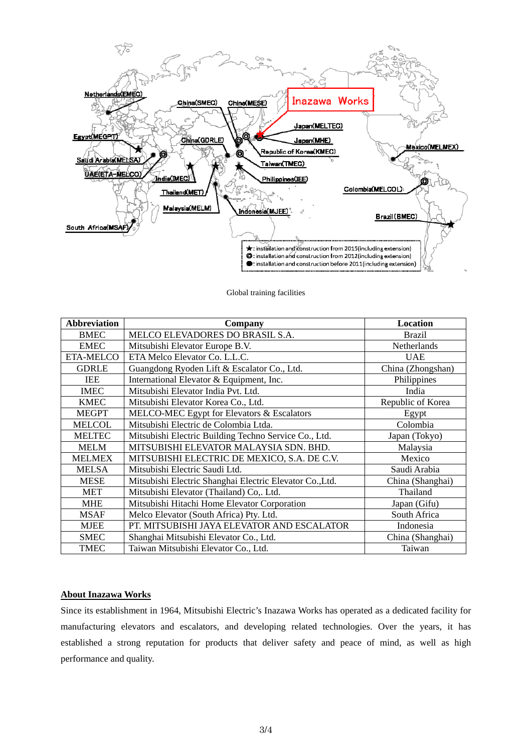

Global training facilities

| <b>Abbreviation</b> | Company                                                  | Location          |
|---------------------|----------------------------------------------------------|-------------------|
| <b>BMEC</b>         | MELCO ELEVADORES DO BRASIL S.A.                          | <b>Brazil</b>     |
| <b>EMEC</b>         | Mitsubishi Elevator Europe B.V.                          | Netherlands       |
| <b>ETA-MELCO</b>    | ETA Melco Elevator Co. L.L.C.                            | <b>UAE</b>        |
| <b>GDRLE</b>        | Guangdong Ryoden Lift & Escalator Co., Ltd.              | China (Zhongshan) |
| IEE                 | International Elevator & Equipment, Inc.                 | Philippines       |
| <b>IMEC</b>         | Mitsubishi Elevator India Pvt. Ltd.                      | India             |
| <b>KMEC</b>         | Mitsubishi Elevator Korea Co., Ltd.                      | Republic of Korea |
| <b>MEGPT</b>        | MELCO-MEC Egypt for Elevators & Escalators               | Egypt             |
| <b>MELCOL</b>       | Mitsubishi Electric de Colombia Ltda.                    | Colombia          |
| <b>MELTEC</b>       | Mitsubishi Electric Building Techno Service Co., Ltd.    | Japan (Tokyo)     |
| <b>MELM</b>         | MITSUBISHI ELEVATOR MALAYSIA SDN. BHD.                   | Malaysia          |
| <b>MELMEX</b>       | MITSUBISHI ELECTRIC DE MEXICO, S.A. DE C.V.              | Mexico            |
| <b>MELSA</b>        | Mitsubishi Electric Saudi Ltd.                           | Saudi Arabia      |
| <b>MESE</b>         | Mitsubishi Electric Shanghai Electric Elevator Co., Ltd. | China (Shanghai)  |
| <b>MET</b>          | Mitsubishi Elevator (Thailand) Co,. Ltd.                 | Thailand          |
| <b>MHE</b>          | Mitsubishi Hitachi Home Elevator Corporation             | Japan (Gifu)      |
| <b>MSAF</b>         | Melco Elevator (South Africa) Pty. Ltd.                  | South Africa      |
| <b>MJEE</b>         | PT. MITSUBISHI JAYA ELEVATOR AND ESCALATOR               | Indonesia         |
| <b>SMEC</b>         | Shanghai Mitsubishi Elevator Co., Ltd.                   | China (Shanghai)  |
| <b>TMEC</b>         | Taiwan Mitsubishi Elevator Co., Ltd.                     | Taiwan            |

## **About Inazawa Works**

Since its establishment in 1964, Mitsubishi Electric's Inazawa Works has operated as a dedicated facility for manufacturing elevators and escalators, and developing related technologies. Over the years, it has established a strong reputation for products that deliver safety and peace of mind, as well as high performance and quality.